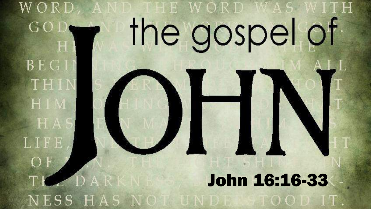#### W O R D HE WORD WAS the gospel of GOD

**BEG1** 

THI

HIM

HA

LIFE

 $O<sub>F</sub>$ 

TL DAR

NESS HAS NOT

#### John 16:16-33

TOOD IT.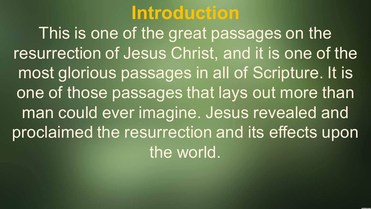#### **Introduction**

This is one of the great passages on the resurrection of Jesus Christ, and it is one of the most glorious passages in all of Scripture. It is one of those passages that lays out more than man could ever imagine. Jesus revealed and proclaimed the resurrection and its effects upon the world.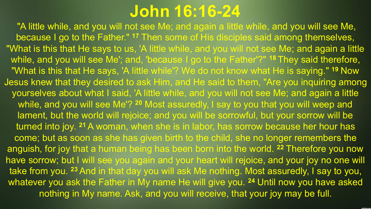#### **John 16:16-24**

"A little while, and you will not see Me; and again a little while, and you will see Me, because I go to the Father." **<sup>17</sup>** Then some of His disciples said among themselves, "What is this that He says to us, 'A little while, and you will not see Me; and again a little while, and you will see Me'; and, 'because I go to the Father'?" **<sup>18</sup>** They said therefore, "What is this that He says, 'A little while'? We do not know what He is saying." **<sup>19</sup>** Now Jesus knew that they desired to ask Him, and He said to them, "Are you inquiring among yourselves about what I said, 'A little while, and you will not see Me; and again a little while, and you will see Me'? **<sup>20</sup>** Most assuredly, I say to you that you will weep and lament, but the world will rejoice; and you will be sorrowful, but your sorrow will be turned into joy. **<sup>21</sup>** A woman, when she is in labor, has sorrow because her hour has come; but as soon as she has given birth to the child, she no longer remembers the anguish, for joy that a human being has been born into the world. **<sup>22</sup>** Therefore you now have sorrow; but I will see you again and your heart will rejoice, and your joy no one will take from you. **<sup>23</sup>** And in that day you will ask Me nothing. Most assuredly, I say to you, whatever you ask the Father in My name He will give you. **<sup>24</sup>** Until now you have asked nothing in My name. Ask, and you will receive, that your joy may be full.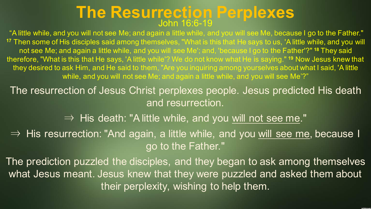## **The Resurrection Perplexes** John 16:6-19

"A little while, and you will not see Me; and again a little while, and you will see Me, because I go to the Father." **<sup>17</sup>** Then some of His disciples said among themselves, "What is this that He says to us, 'A little while, and you will not see Me; and again a little while, and you will see Me'; and, 'because I go to the Father'?" **<sup>18</sup>** They said therefore, "What is this that He says, 'A little while'? We do not know what He is saying." **<sup>19</sup>** Now Jesus knew that they desired to ask Him, and He said to them, "Are you inquiring among yourselves about what I said, 'A little while, and you will not see Me; and again a little while, and you will see Me'?"

The resurrection of Jesus Christ perplexes people. Jesus predicted His death and resurrection.

 $\Rightarrow$  His death: "A little while, and you will not see me."

⇒ His resurrection: "And again, a little while, and you will see me, because I go to the Father."

The prediction puzzled the disciples, and they began to ask among themselves what Jesus meant. Jesus knew that they were puzzled and asked them about their perplexity, wishing to help them.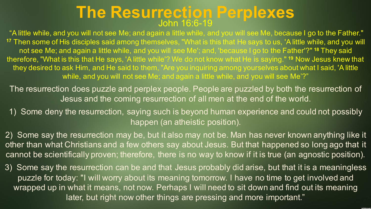# **The Resurrection Perplexes** John 16:6-19

"A little while, and you will not see Me; and again a little while, and you will see Me, because I go to the Father." **<sup>17</sup>** Then some of His disciples said among themselves, "What is this that He says to us, 'A little while, and you will not see Me; and again a little while, and you will see Me'; and, 'because I go to the Father'?" **<sup>18</sup>** They said therefore, "What is this that He says, 'A little while'? We do not know what He is saying." **<sup>19</sup>** Now Jesus knew that they desired to ask Him, and He said to them, "Are you inquiring among yourselves about what I said, 'A little while, and you will not see Me; and again a little while, and you will see Me'?"

The resurrection does puzzle and perplex people. People are puzzled by both the resurrection of Jesus and the coming resurrection of all men at the end of the world.

1) Some deny the resurrection, saying such is beyond human experience and could not possibly happen (an atheistic position).

2) Some say the resurrection may be, but it also may not be. Man has never known anything like it other than what Christians and a few others say about Jesus. But that happened so long ago that it cannot be scientifically proven; therefore, there is no way to know if it is true (an agnostic position).

3) Some say the resurrection can be and that Jesus probably did arise, but that it is a meaningless puzzle for today: "I will worry about its meaning tomorrow. I have no time to get involved and wrapped up in what it means, not now. Perhaps I will need to sit down and find out its meaning later, but right now other things are pressing and more important."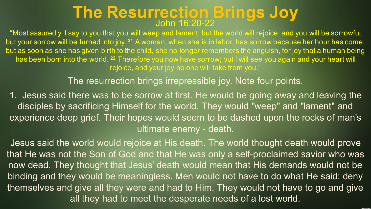"Most assuredly, I say to you that you will weep and lament, but the world will rejoice; and you will be sorrowful, but your sorrow will be turned into joy. **<sup>21</sup>** A woman, when she is in labor, has sorrow because her hour has come; but as soon as she has given birth to the child, she no longer remembers the anguish, for joy that a human being has been born into the world. **<sup>22</sup>** Therefore you now have sorrow; but I will see you again and your heart will rejoice, and your joy no one will take from you."

The resurrection brings irrepressible joy. Note four points.

1. Jesus said there was to be sorrow at first. He would be going away and leaving the disciples by sacrificing Himself for the world. They would "weep" and "lament" and experience deep grief. Their hopes would seem to be dashed upon the rocks of man's ultimate enemy - death.

Jesus said the world would rejoice at His death. The world thought death would prove that He was not the Son of God and that He was only a self-proclaimed savior who was now dead. They thought that Jesus' death would mean that His demands would not be binding and they would be meaningless. Men would not have to do what He said: deny themselves and give all they were and had to Him. They would not have to go and give all they had to meet the desperate needs of a lost world.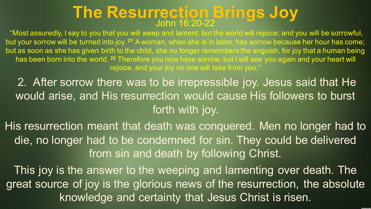"Most assuredly, I say to you that you will weep and lament, but the world will rejoice; and you will be sorrowful, but your sorrow will be turned into joy. **<sup>21</sup>** A woman, when she is in labor, has sorrow because her hour has come; but as soon as she has given birth to the child, she no longer remembers the anguish, for joy that a human being has been born into the world. **<sup>22</sup>** Therefore you now have sorrow; but I will see you again and your heart will rejoice, and your joy no one will take from you.<sup>'</sup>

2. After sorrow there was to be irrepressible joy. Jesus said that He would arise, and His resurrection would cause His followers to burst forth with joy.

His resurrection meant that death was conquered. Men no longer had to die, no longer had to be condemned for sin. They could be delivered from sin and death by following Christ.

This joy is the answer to the weeping and lamenting over death. The great source of joy is the glorious news of the resurrection, the absolute knowledge and certainty that Jesus Christ is risen.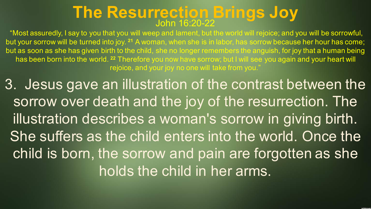"Most assuredly, I say to you that you will weep and lament, but the world will rejoice; and you will be sorrowful, but your sorrow will be turned into joy. **<sup>21</sup>** A woman, when she is in labor, has sorrow because her hour has come; but as soon as she has given birth to the child, she no longer remembers the anguish, for joy that a human being has been born into the world. **<sup>22</sup>** Therefore you now have sorrow; but I will see you again and your heart will rejoice, and your joy no one will take from you."

3. Jesus gave an illustration of the contrast between the sorrow over death and the joy of the resurrection. The illustration describes a woman's sorrow in giving birth. She suffers as the child enters into the world. Once the child is born, the sorrow and pain are forgotten as she holds the child in her arms.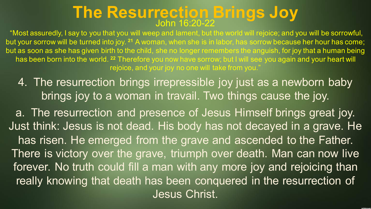"Most assuredly, I say to you that you will weep and lament, but the world will rejoice; and you will be sorrowful, but your sorrow will be turned into joy. **<sup>21</sup>** A woman, when she is in labor, has sorrow because her hour has come; but as soon as she has given birth to the child, she no longer remembers the anguish, for joy that a human being has been born into the world. **<sup>22</sup>** Therefore you now have sorrow; but I will see you again and your heart will rejoice, and your joy no one will take from you."

4. The resurrection brings irrepressible joy just as a newborn baby brings joy to a woman in travail. Two things cause the joy.

a. The resurrection and presence of Jesus Himself brings great joy. Just think: Jesus is not dead. His body has not decayed in a grave. He has risen. He emerged from the grave and ascended to the Father. There is victory over the grave, triumph over death. Man can now live forever. No truth could fill a man with any more joy and rejoicing than really knowing that death has been conquered in the resurrection of Jesus Christ.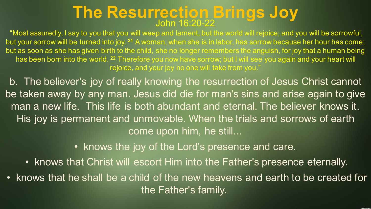"Most assuredly, I say to you that you will weep and lament, but the world will rejoice; and you will be sorrowful, but your sorrow will be turned into joy. **<sup>21</sup>** A woman, when she is in labor, has sorrow because her hour has come; but as soon as she has given birth to the child, she no longer remembers the anguish, for joy that a human being has been born into the world. **<sup>22</sup>** Therefore you now have sorrow; but I will see you again and your heart will rejoice, and your joy no one will take from you.<sup>'</sup>

b. The believer's joy of really knowing the resurrection of Jesus Christ cannot be taken away by any man. Jesus did die for man's sins and arise again to give man a new life. This life is both abundant and eternal. The believer knows it. His joy is permanent and unmovable. When the trials and sorrows of earth come upon him, he still...

• knows the joy of the Lord's presence and care.

- knows that Christ will escort Him into the Father's presence eternally.
- knows that he shall be a child of the new heavens and earth to be created for the Father's family.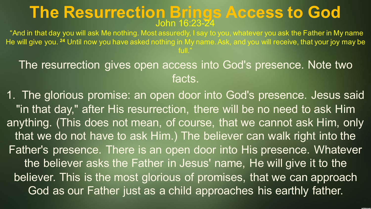# **The Resurrection Brings Access to God** John 16:23-24

"And in that day you will ask Me nothing. Most assuredly, I say to you, whatever you ask the Father in My name He will give you. **<sup>24</sup>** Until now you have asked nothing in My name. Ask, and you will receive, that your joy may be full."

The resurrection gives open access into God's presence. Note two facts.

1. The glorious promise: an open door into God's presence. Jesus said "in that day," after His resurrection, there will be no need to ask Him anything. (This does not mean, of course, that we cannot ask Him, only that we do not have to ask Him.) The believer can walk right into the Father's presence. There is an open door into His presence. Whatever the believer asks the Father in Jesus' name, He will give it to the believer. This is the most glorious of promises, that we can approach God as our Father just as a child approaches his earthly father.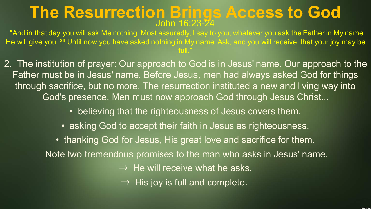# **The Resurrection Brings Access to God** John 16:23-24

"And in that day you will ask Me nothing. Most assuredly, I say to you, whatever you ask the Father in My name He will give you. **<sup>24</sup>** Until now you have asked nothing in My name. Ask, and you will receive, that your joy may be full."

2. The institution of prayer: Our approach to God is in Jesus' name. Our approach to the Father must be in Jesus' name. Before Jesus, men had always asked God for things through sacrifice, but no more. The resurrection instituted a new and living way into God's presence. Men must now approach God through Jesus Christ...

- believing that the righteousness of Jesus covers them.
- asking God to accept their faith in Jesus as righteousness.

• thanking God for Jesus, His great love and sacrifice for them. Note two tremendous promises to the man who asks in Jesus' name.  $\Rightarrow$  He will receive what he asks.  $\Rightarrow$  His joy is full and complete.